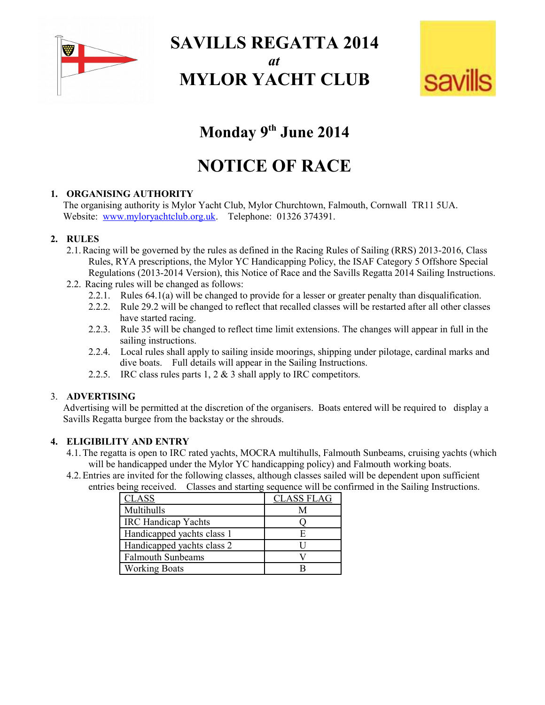

**SAVILLS REGATTA 2014** *at*

# **MYLOR YACHT CLUB**



# **Monday 9th June 2014**

# **NOTICE OF RACE**

## **1. ORGANISING AUTHORITY**

The organising authority is Mylor Yacht Club, Mylor Churchtown, Falmouth, Cornwall TR11 5UA. Website: [www.myloryachtclub.org.uk.](http://www.myloryachtclub.org.uk/) Telephone: 01326 374391.

#### **2. RULES**

- 2.1.Racing will be governed by the rules as defined in the Racing Rules of Sailing (RRS) 2013-2016, Class Rules, RYA prescriptions, the Mylor YC Handicapping Policy, the ISAF Category 5 Offshore Special Regulations (2013-2014 Version), this Notice of Race and the Savills Regatta 2014 Sailing Instructions.
- 2.2. Racing rules will be changed as follows:
	- 2.2.1. Rules 64.1(a) will be changed to provide for a lesser or greater penalty than disqualification.
	- 2.2.2. Rule 29.2 will be changed to reflect that recalled classes will be restarted after all other classes have started racing.
	- 2.2.3. Rule 35 will be changed to reflect time limit extensions. The changes will appear in full in the sailing instructions.
	- 2.2.4. Local rules shall apply to sailing inside moorings, shipping under pilotage, cardinal marks and dive boats. Full details will appear in the Sailing Instructions.
	- 2.2.5. IRC class rules parts 1, 2 & 3 shall apply to IRC competitors.

#### 3. **ADVERTISING**

Advertising will be permitted at the discretion of the organisers. Boats entered will be required to display a Savills Regatta burgee from the backstay or the shrouds.

#### **4. ELIGIBILITY AND ENTRY**

- 4.1.The regatta is open to IRC rated yachts, MOCRA multihulls, Falmouth Sunbeams, cruising yachts (which will be handicapped under the Mylor YC handicapping policy) and Falmouth working boats.
- 4.2.Entries are invited for the following classes, although classes sailed will be dependent upon sufficient entries being received. Classes and starting sequence will be confirmed in the Sailing Instructions.

| <b>CLASS</b>               | <b>CLASS FLAG</b> |
|----------------------------|-------------------|
| Multihulls                 | М                 |
| <b>IRC</b> Handicap Yachts |                   |
| Handicapped yachts class 1 | н                 |
| Handicapped yachts class 2 |                   |
| <b>Falmouth Sunbeams</b>   |                   |
| <b>Working Boats</b>       |                   |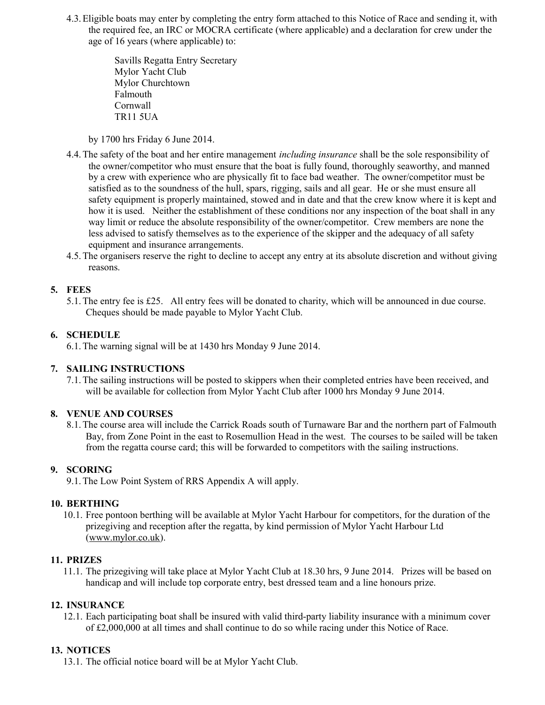4.3.Eligible boats may enter by completing the entry form attached to this Notice of Race and sending it, with the required fee, an IRC or MOCRA certificate (where applicable) and a declaration for crew under the age of 16 years (where applicable) to:

> Savills Regatta Entry Secretary Mylor Yacht Club Mylor Churchtown Falmouth Cornwall TR11 5UA

by 1700 hrs Friday 6 June 2014.

- 4.4.The safety of the boat and her entire management *including insurance* shall be the sole responsibility of the owner/competitor who must ensure that the boat is fully found, thoroughly seaworthy, and manned by a crew with experience who are physically fit to face bad weather. The owner/competitor must be satisfied as to the soundness of the hull, spars, rigging, sails and all gear. He or she must ensure all safety equipment is properly maintained, stowed and in date and that the crew know where it is kept and how it is used. Neither the establishment of these conditions nor any inspection of the boat shall in any way limit or reduce the absolute responsibility of the owner/competitor. Crew members are none the less advised to satisfy themselves as to the experience of the skipper and the adequacy of all safety equipment and insurance arrangements.
- 4.5.The organisers reserve the right to decline to accept any entry at its absolute discretion and without giving reasons.

## **5. FEES**

5.1.The entry fee is £25. All entry fees will be donated to charity, which will be announced in due course. Cheques should be made payable to Mylor Yacht Club.

## **6. SCHEDULE**

6.1.The warning signal will be at 1430 hrs Monday 9 June 2014.

## **7. SAILING INSTRUCTIONS**

7.1.The sailing instructions will be posted to skippers when their completed entries have been received, and will be available for collection from Mylor Yacht Club after 1000 hrs Monday 9 June 2014.

## **8. VENUE AND COURSES**

8.1.The course area will include the Carrick Roads south of Turnaware Bar and the northern part of Falmouth Bay, from Zone Point in the east to Rosemullion Head in the west. The courses to be sailed will be taken from the regatta course card; this will be forwarded to competitors with the sailing instructions.

## **9. SCORING**

9.1.The Low Point System of RRS Appendix A will apply.

#### **10. BERTHING**

10.1. Free pontoon berthing will be available at Mylor Yacht Harbour for competitors, for the duration of the prizegiving and reception after the regatta, by kind permission of Mylor Yacht Harbour Ltd [\(www.mylor.co.uk\)](http://www.mylor.co.uk/).

## **11. PRIZES**

11.1. The prizegiving will take place at Mylor Yacht Club at 18.30 hrs, 9 June 2014. Prizes will be based on handicap and will include top corporate entry, best dressed team and a line honours prize.

## **12. INSURANCE**

12.1. Each participating boat shall be insured with valid third-party liability insurance with a minimum cover of £2,000,000 at all times and shall continue to do so while racing under this Notice of Race.

## **13. NOTICES**

13.1. The official notice board will be at Mylor Yacht Club.